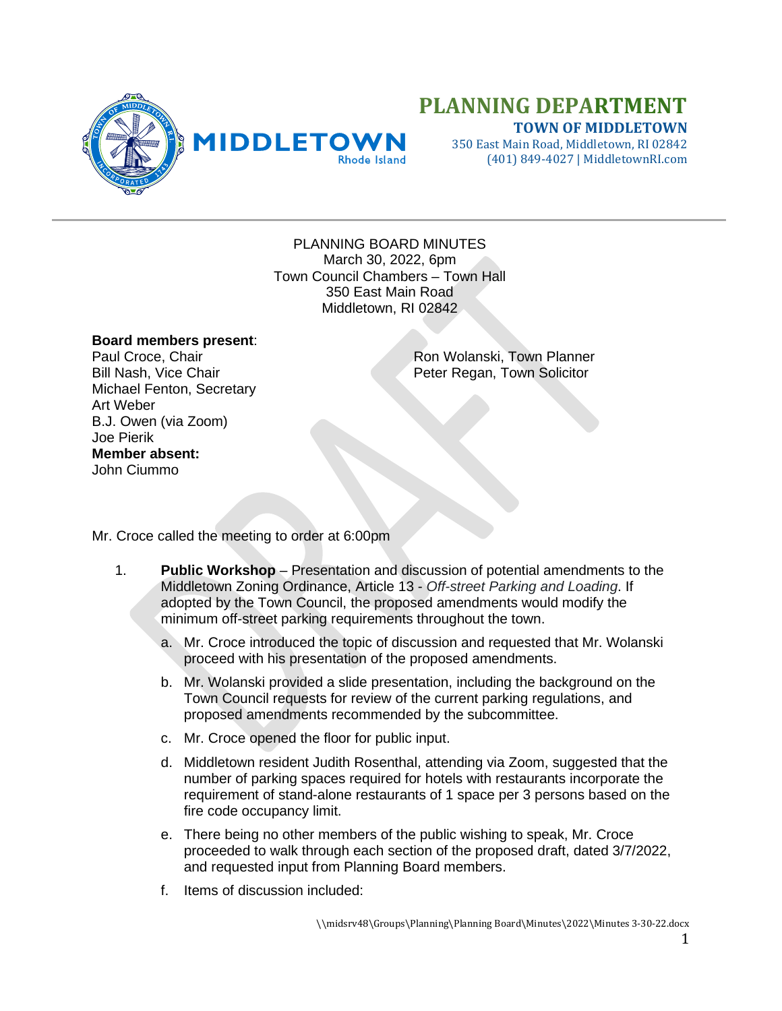

## **PLANNING DEPARTMENT TOWN OF MIDDLETOWN**

350 East Main Road, Middletown, RI 02842 (401) 849-4027 | MiddletownRI.com

PLANNING BOARD MINUTES March 30, 2022, 6pm Town Council Chambers – Town Hall 350 East Main Road Middletown, RI 02842

## **Board members present**:

Michael Fenton, Secretary Art Weber B.J. Owen (via Zoom) Joe Pierik **Member absent:** John Ciummo

Paul Croce, Chair Ron Wolanski, Town Planner<br>
Bill Nash, Vice Chair Regan, Town Solicitor Peter Regan, Town Solicitor

Mr. Croce called the meeting to order at 6:00pm

- 1. **Public Workshop** Presentation and discussion of potential amendments to the Middletown Zoning Ordinance, Article 13 - *Off-street Parking and Loading*. If adopted by the Town Council, the proposed amendments would modify the minimum off-street parking requirements throughout the town.
	- a. Mr. Croce introduced the topic of discussion and requested that Mr. Wolanski proceed with his presentation of the proposed amendments.
	- b. Mr. Wolanski provided a slide presentation, including the background on the Town Council requests for review of the current parking regulations, and proposed amendments recommended by the subcommittee.
	- c. Mr. Croce opened the floor for public input.
	- d. Middletown resident Judith Rosenthal, attending via Zoom, suggested that the number of parking spaces required for hotels with restaurants incorporate the requirement of stand-alone restaurants of 1 space per 3 persons based on the fire code occupancy limit.
	- e. There being no other members of the public wishing to speak, Mr. Croce proceeded to walk through each section of the proposed draft, dated 3/7/2022, and requested input from Planning Board members.
	- f. Items of discussion included: